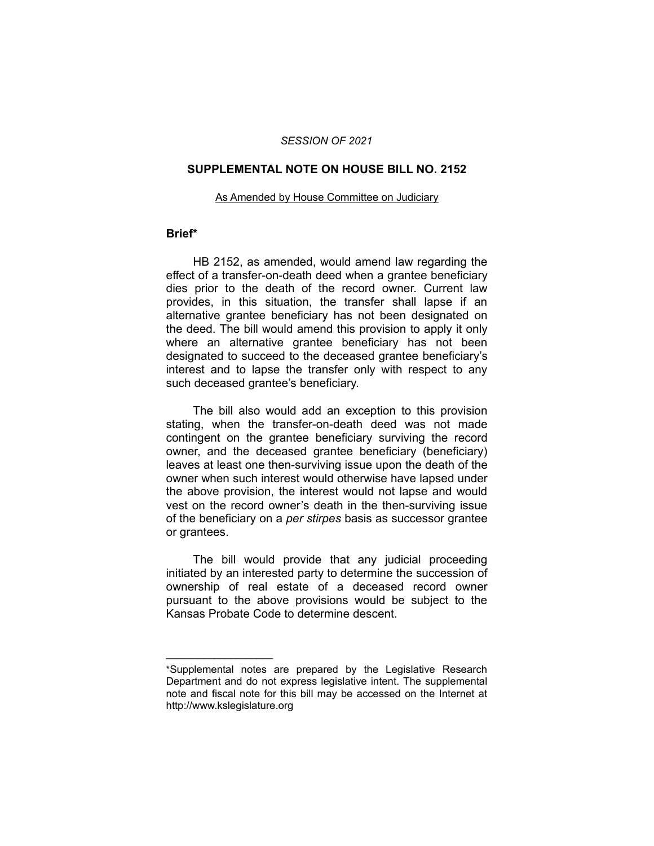## *SESSION OF 2021*

## **SUPPLEMENTAL NOTE ON HOUSE BILL NO. 2152**

#### As Amended by House Committee on Judiciary

## **Brief\***

HB 2152, as amended, would amend law regarding the effect of a transfer-on-death deed when a grantee beneficiary dies prior to the death of the record owner. Current law provides, in this situation, the transfer shall lapse if an alternative grantee beneficiary has not been designated on the deed. The bill would amend this provision to apply it only where an alternative grantee beneficiary has not been designated to succeed to the deceased grantee beneficiary's interest and to lapse the transfer only with respect to any such deceased grantee's beneficiary.

The bill also would add an exception to this provision stating, when the transfer-on-death deed was not made contingent on the grantee beneficiary surviving the record owner, and the deceased grantee beneficiary (beneficiary) leaves at least one then-surviving issue upon the death of the owner when such interest would otherwise have lapsed under the above provision, the interest would not lapse and would vest on the record owner's death in the then-surviving issue of the beneficiary on a *per stirpes* basis as successor grantee or grantees.

The bill would provide that any judicial proceeding initiated by an interested party to determine the succession of ownership of real estate of a deceased record owner pursuant to the above provisions would be subject to the Kansas Probate Code to determine descent.

 $\overline{\phantom{a}}$  , where  $\overline{\phantom{a}}$ 

<sup>\*</sup>Supplemental notes are prepared by the Legislative Research Department and do not express legislative intent. The supplemental note and fiscal note for this bill may be accessed on the Internet at http://www.kslegislature.org